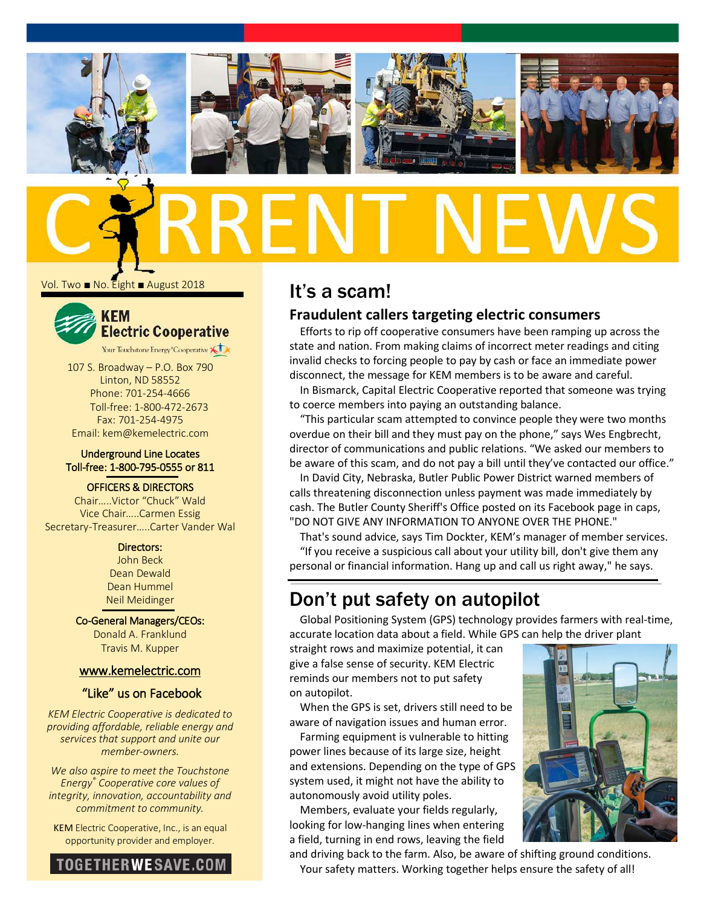

Vol. Two ■ No. Eight ■ August 2018



107 S. Broadway – P.O. Box 790 Linton, ND 58552 Phone: 701-254-4666 Toll-free: 1-800-472-2673 Fax: 701-254-4975

### Underground Line Locates Toll-free: 1-800-795-0555 or 811

Email: kem@kemelectric.com

### OFFICERS & DIRECTORS

Chair…..Victor "Chuck" Wald Vice Chair…..Carmen Essig Secretary-Treasurer…..Carter Vander Wal

#### Directors:

John Beck Dean Dewald Dean Hummel Neil Meidinger

Co-General Managers/CEOs: Donald A. Franklund Travis M. Kupper

### [www.kemelectric.com](http://www.kemelectric.com/)

### "Like" us on Facebook

*KEM Electric Cooperative is dedicated to providing affordable, reliable energy and services that support and unite our member-owners.*

*We also aspire to meet the Touchstone Energy® Cooperative core values of integrity, innovation, accountability and commitment to community.*

KEM Electric Cooperative, Inc., is an equal opportunity provider and employer.



# It's a scam! **Fraudulent callers targeting electric consumers**

Efforts to rip off cooperative consumers have been ramping up across the state and nation. From making claims of incorrect meter readings and citing invalid checks to forcing people to pay by cash or face an immediate power disconnect, the message for KEM members is to be aware and careful.

In Bismarck, Capital Electric Cooperative reported that someone was trying to coerce members into paying an outstanding balance.

"This particular scam attempted to convince people they were two months overdue on their bill and they must pay on the phone," says Wes Engbrecht, director of communications and public relations. "We asked our members to be aware of this scam, and do not pay a bill until they've contacted our office."

In David City, Nebraska[, Butler Public Power District](https://butlerppd.com/) warned members of calls threatening disconnection unless payment was made immediately by cash. The Butler County Sheriff's Office posted on its Facebook page in caps, "DO NOT GIVE ANY INFORMATION TO ANYONE OVER THE PHONE."

That's sound advice, says Tim Dockter, KEM's manager of member services. "If you receive a suspicious call about your utility bill, don't give them any personal or financial information. Hang up and call us right away," he says.

# Don't put safety on autopilot

Global Positioning System (GPS) technology provides farmers with real-time, accurate location data about a field. While GPS can help the driver plant

straight rows and maximize potential, it can give a false sense of security. KEM Electric reminds our members not to put safety on autopilot.

When the GPS is set, drivers still need to be aware of navigation issues and human error.

Farming equipment is vulnerable to hitting power lines because of its large size, height and extensions. Depending on the type of GPS system used, it might not have the ability to autonomously avoid utility poles.

Members, evaluate your fields regularly, looking for low-hanging lines when entering a field, turning in end rows, leaving the field



and driving back to the farm. Also, be aware of shifting ground conditions. Your safety matters. Working together helps ensure the safety of all!